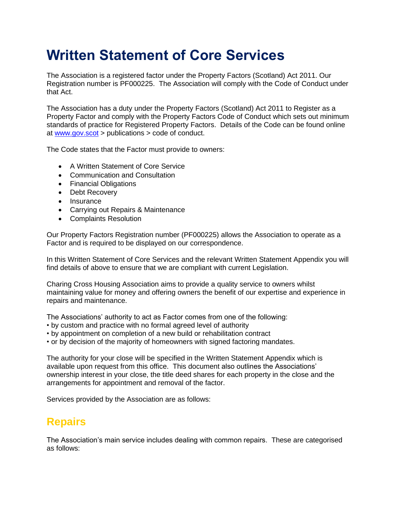# **Written Statement of Core Services**

The Association is a registered factor under the Property Factors (Scotland) Act 2011. Our Registration number is PF000225. The Association will comply with the Code of Conduct under that Act.

The Association has a duty under the Property Factors (Scotland) Act 2011 to Register as a Property Factor and comply with the Property Factors Code of Conduct which sets out minimum standards of practice for Registered Property Factors. Details of the Code can be found online at [www.gov.scot](http://www.gov.scot/) > publications > code of conduct.

The Code states that the Factor must provide to owners:

- A Written Statement of Core Service
- Communication and Consultation
- Financial Obligations
- Debt Recovery
- Insurance
- Carrying out Repairs & Maintenance
- Complaints Resolution

Our Property Factors Registration number (PF000225) allows the Association to operate as a Factor and is required to be displayed on our correspondence.

In this Written Statement of Core Services and the relevant Written Statement Appendix you will find details of above to ensure that we are compliant with current Legislation.

Charing Cross Housing Association aims to provide a quality service to owners whilst maintaining value for money and offering owners the benefit of our expertise and experience in repairs and maintenance.

The Associations' authority to act as Factor comes from one of the following:

- by custom and practice with no formal agreed level of authority
- by appointment on completion of a new build or rehabilitation contract
- or by decision of the majority of homeowners with signed factoring mandates.

The authority for your close will be specified in the Written Statement Appendix which is available upon request from this office. This document also outlines the Associations' ownership interest in your close, the title deed shares for each property in the close and the arrangements for appointment and removal of the factor.

Services provided by the Association are as follows:

### **Repairs**

The Association's main service includes dealing with common repairs. These are categorised as follows: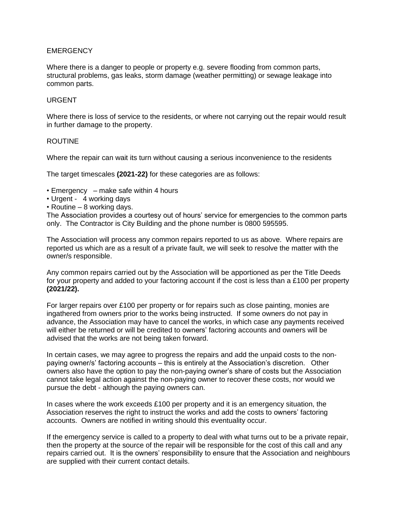#### **EMERGENCY**

Where there is a danger to people or property e.g. severe flooding from common parts, structural problems, gas leaks, storm damage (weather permitting) or sewage leakage into common parts.

#### URGENT

Where there is loss of service to the residents, or where not carrying out the repair would result in further damage to the property.

#### ROUTINE

Where the repair can wait its turn without causing a serious inconvenience to the residents

The target timescales **(2021-22)** for these categories are as follows:

- Emergency make safe within 4 hours
- Urgent 4 working days
- Routine 8 working days.

The Association provides a courtesy out of hours' service for emergencies to the common parts only. The Contractor is City Building and the phone number is 0800 595595.

The Association will process any common repairs reported to us as above. Where repairs are reported us which are as a result of a private fault, we will seek to resolve the matter with the owner/s responsible.

Any common repairs carried out by the Association will be apportioned as per the Title Deeds for your property and added to your factoring account if the cost is less than a £100 per property **(2021/22).**

For larger repairs over £100 per property or for repairs such as close painting, monies are ingathered from owners prior to the works being instructed. If some owners do not pay in advance, the Association may have to cancel the works, in which case any payments received will either be returned or will be credited to owners' factoring accounts and owners will be advised that the works are not being taken forward.

In certain cases, we may agree to progress the repairs and add the unpaid costs to the nonpaying owner/s' factoring accounts – this is entirely at the Association's discretion. Other owners also have the option to pay the non-paying owner's share of costs but the Association cannot take legal action against the non-paying owner to recover these costs, nor would we pursue the debt - although the paying owners can.

In cases where the work exceeds  $£100$  per property and it is an emergency situation, the Association reserves the right to instruct the works and add the costs to owners' factoring accounts. Owners are notified in writing should this eventuality occur.

If the emergency service is called to a property to deal with what turns out to be a private repair, then the property at the source of the repair will be responsible for the cost of this call and any repairs carried out. It is the owners' responsibility to ensure that the Association and neighbours are supplied with their current contact details.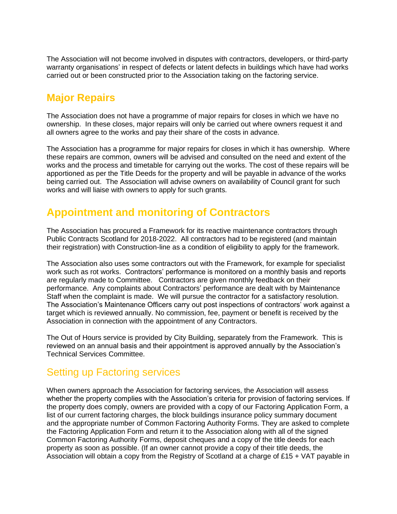The Association will not become involved in disputes with contractors, developers, or third-party warranty organisations' in respect of defects or latent defects in buildings which have had works carried out or been constructed prior to the Association taking on the factoring service.

### **Major Repairs**

The Association does not have a programme of major repairs for closes in which we have no ownership. In these closes, major repairs will only be carried out where owners request it and all owners agree to the works and pay their share of the costs in advance.

The Association has a programme for major repairs for closes in which it has ownership. Where these repairs are common, owners will be advised and consulted on the need and extent of the works and the process and timetable for carrying out the works. The cost of these repairs will be apportioned as per the Title Deeds for the property and will be payable in advance of the works being carried out. The Association will advise owners on availability of Council grant for such works and will liaise with owners to apply for such grants.

# **Appointment and monitoring of Contractors**

The Association has procured a Framework for its reactive maintenance contractors through Public Contracts Scotland for 2018-2022. All contractors had to be registered (and maintain their registration) with Construction-line as a condition of eligibility to apply for the framework.

The Association also uses some contractors out with the Framework, for example for specialist work such as rot works. Contractors' performance is monitored on a monthly basis and reports are regularly made to Committee. Contractors are given monthly feedback on their performance. Any complaints about Contractors' performance are dealt with by Maintenance Staff when the complaint is made. We will pursue the contractor for a satisfactory resolution. The Association's Maintenance Officers carry out post inspections of contractors' work against a target which is reviewed annually. No commission, fee, payment or benefit is received by the Association in connection with the appointment of any Contractors.

The Out of Hours service is provided by City Building, separately from the Framework. This is reviewed on an annual basis and their appointment is approved annually by the Association's Technical Services Committee.

# Setting up Factoring services

When owners approach the Association for factoring services, the Association will assess whether the property complies with the Association's criteria for provision of factoring services. If the property does comply, owners are provided with a copy of our Factoring Application Form, a list of our current factoring charges, the block buildings insurance policy summary document and the appropriate number of Common Factoring Authority Forms. They are asked to complete the Factoring Application Form and return it to the Association along with all of the signed Common Factoring Authority Forms, deposit cheques and a copy of the title deeds for each property as soon as possible. (If an owner cannot provide a copy of their title deeds, the Association will obtain a copy from the Registry of Scotland at a charge of £15 + VAT payable in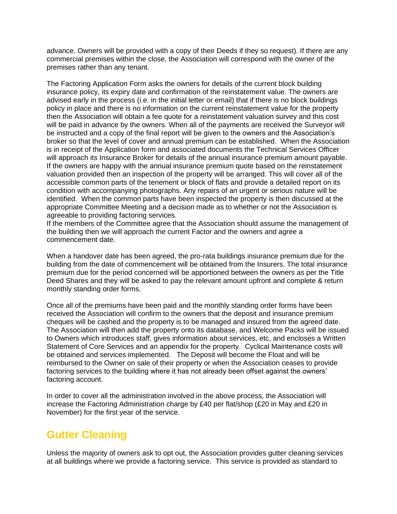advance. Owners will be provided with a copy of their Deeds if they so request). If there are any commercial premises within the close, the Association will correspond with the owner of the premises rather than any tenant.

The Factoring Application Form asks the owners for details of the current block building insurance policy, its expiry date and confirmation of the reinstatement value. The owners are advised early in the process (i.e. in the initial letter or email) that if there is no block buildings policy in place and there is no information on the current reinstatement value for the property then the Association will obtain a fee quote for a reinstatement valuation survey and this cost will be paid in advance by the owners. When all of the payments are received the Surveyor will be instructed and a copy of the final report will be given to the owners and the Association's broker so that the level of cover and annual premium can be established. When the Association is in receipt of the Application form and associated documents the Technical Services Officer will approach its Insurance Broker for details of the annual insurance premium amount payable. If the owners are happy with the annual insurance premium quote based on the reinstatement valuation provided then an inspection of the property will be arranged. This will cover all of the accessible common parts of the tenement or block of flats and provide a detailed report on its condition with accompanying photographs. Any repairs of an urgent or serious nature will be identified. When the common parts have been inspected the property is then discussed at the appropriate Committee Meeting and a decision made as to whether or not the Association is agreeable to providing factoring services.

If the members of the Committee agree that the Association should assume the management of the building then we will approach the current Factor and the owners and agree a commencement date.

When a handover date has been agreed, the pro-rata buildings insurance premium due for the building from the date of commencement will be obtained from the Insurers. The total insurance premium due for the period concerned will be apportioned between the owners as per the Title Deed Shares and they will be asked to pay the relevant amount upfront and complete & return monthly standing order forms.

Once all of the premiums have been paid and the monthly standing order forms have been received the Association will confirm to the owners that the deposit and insurance premium cheques will be cashed and the property is to be managed and insured from the agreed date. The Association will then add the property onto its database, and Welcome Packs will be issued to Owners which introduces staff, gives information about services, etc, and encloses a Written Statement of Core Services and an appendix for the property. Cyclical Maintenance costs will be obtained and services implemented. The Deposit will become the Float and will be reimbursed to the Owner on sale of their property or when the Association ceases to provide factoring services to the building where it has not already been offset against the owners' factoring account.

In order to cover all the administration involved in the above process, the Association will increase the Factoring Administration charge by £40 per flat/shop (£20 in May and £20 in November) for the first year of the service.

# **Gutter Cleaning**

Unless the majority of owners ask to opt out, the Association provides gutter cleaning services at all buildings where we provide a factoring service. This service is provided as standard to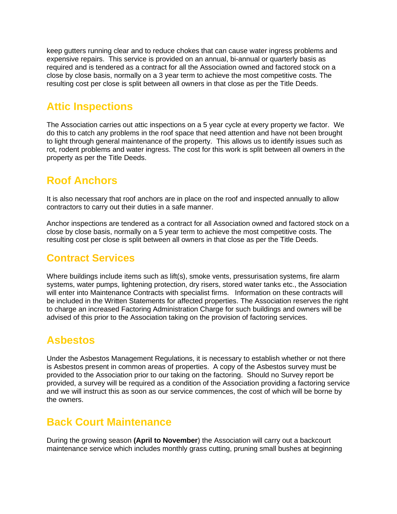keep gutters running clear and to reduce chokes that can cause water ingress problems and expensive repairs. This service is provided on an annual, bi-annual or quarterly basis as required and is tendered as a contract for all the Association owned and factored stock on a close by close basis, normally on a 3 year term to achieve the most competitive costs. The resulting cost per close is split between all owners in that close as per the Title Deeds.

# **Attic Inspections**

The Association carries out attic inspections on a 5 year cycle at every property we factor. We do this to catch any problems in the roof space that need attention and have not been brought to light through general maintenance of the property. This allows us to identify issues such as rot, rodent problems and water ingress. The cost for this work is split between all owners in the property as per the Title Deeds.

# **Roof Anchors**

It is also necessary that roof anchors are in place on the roof and inspected annually to allow contractors to carry out their duties in a safe manner.

Anchor inspections are tendered as a contract for all Association owned and factored stock on a close by close basis, normally on a 5 year term to achieve the most competitive costs. The resulting cost per close is split between all owners in that close as per the Title Deeds.

### **Contract Services**

Where buildings include items such as lift(s), smoke vents, pressurisation systems, fire alarm systems, water pumps, lightening protection, dry risers, stored water tanks etc., the Association will enter into Maintenance Contracts with specialist firms. Information on these contracts will be included in the Written Statements for affected properties. The Association reserves the right to charge an increased Factoring Administration Charge for such buildings and owners will be advised of this prior to the Association taking on the provision of factoring services.

# **Asbestos**

Under the Asbestos Management Regulations, it is necessary to establish whether or not there is Asbestos present in common areas of properties. A copy of the Asbestos survey must be provided to the Association prior to our taking on the factoring. Should no Survey report be provided, a survey will be required as a condition of the Association providing a factoring service and we will instruct this as soon as our service commences, the cost of which will be borne by the owners.

### **Back Court Maintenance**

During the growing season **(April to November**) the Association will carry out a backcourt maintenance service which includes monthly grass cutting, pruning small bushes at beginning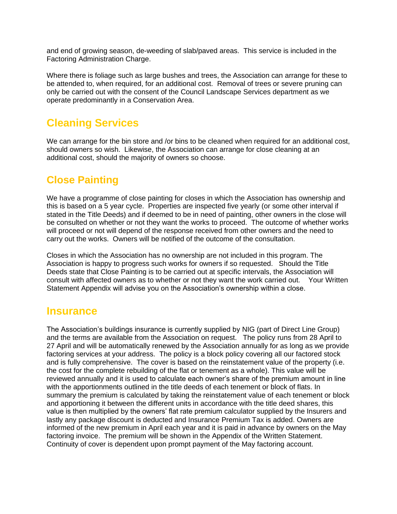and end of growing season, de-weeding of slab/paved areas. This service is included in the Factoring Administration Charge.

Where there is foliage such as large bushes and trees, the Association can arrange for these to be attended to, when required, for an additional cost. Removal of trees or severe pruning can only be carried out with the consent of the Council Landscape Services department as we operate predominantly in a Conservation Area.

# **Cleaning Services**

We can arrange for the bin store and /or bins to be cleaned when required for an additional cost, should owners so wish. Likewise, the Association can arrange for close cleaning at an additional cost, should the majority of owners so choose.

### **Close Painting**

We have a programme of close painting for closes in which the Association has ownership and this is based on a 5 year cycle. Properties are inspected five yearly (or some other interval if stated in the Title Deeds) and if deemed to be in need of painting, other owners in the close will be consulted on whether or not they want the works to proceed. The outcome of whether works will proceed or not will depend of the response received from other owners and the need to carry out the works. Owners will be notified of the outcome of the consultation.

Closes in which the Association has no ownership are not included in this program. The Association is happy to progress such works for owners if so requested. Should the Title Deeds state that Close Painting is to be carried out at specific intervals, the Association will consult with affected owners as to whether or not they want the work carried out. Your Written Statement Appendix will advise you on the Association's ownership within a close.

### **Insurance**

The Association's buildings insurance is currently supplied by NIG (part of Direct Line Group) and the terms are available from the Association on request. The policy runs from 28 April to 27 April and will be automatically renewed by the Association annually for as long as we provide factoring services at your address. The policy is a block policy covering all our factored stock and is fully comprehensive. The cover is based on the reinstatement value of the property (i.e. the cost for the complete rebuilding of the flat or tenement as a whole). This value will be reviewed annually and it is used to calculate each owner's share of the premium amount in line with the apportionments outlined in the title deeds of each tenement or block of flats. In summary the premium is calculated by taking the reinstatement value of each tenement or block and apportioning it between the different units in accordance with the title deed shares, this value is then multiplied by the owners' flat rate premium calculator supplied by the Insurers and lastly any package discount is deducted and Insurance Premium Tax is added. Owners are informed of the new premium in April each year and it is paid in advance by owners on the May factoring invoice. The premium will be shown in the Appendix of the Written Statement. Continuity of cover is dependent upon prompt payment of the May factoring account.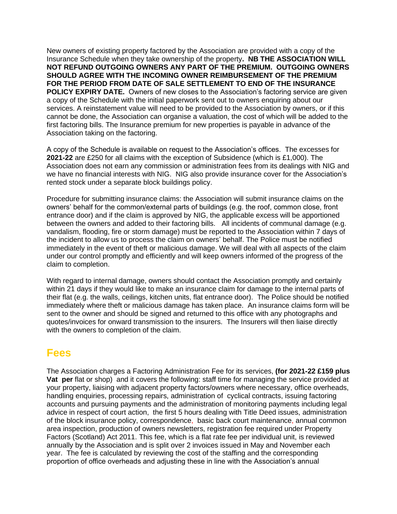New owners of existing property factored by the Association are provided with a copy of the Insurance Schedule when they take ownership of the property**. NB THE ASSOCIATION WILL NOT REFUND OUTGOING OWNERS ANY PART OF THE PREMIUM. OUTGOING OWNERS SHOULD AGREE WITH THE INCOMING OWNER REIMBURSEMENT OF THE PREMIUM FOR THE PERIOD FROM DATE OF SALE SETTLEMENT TO END OF THE INSURANCE POLICY EXPIRY DATE.** Owners of new closes to the Association's factoring service are given a copy of the Schedule with the initial paperwork sent out to owners enquiring about our services. A reinstatement value will need to be provided to the Association by owners, or if this cannot be done, the Association can organise a valuation, the cost of which will be added to the first factoring bills. The Insurance premium for new properties is payable in advance of the Association taking on the factoring.

A copy of the Schedule is available on request to the Association's offices. The excesses for **2021-22** are £250 for all claims with the exception of Subsidence (which is £1,000). The Association does not earn any commission or administration fees from its dealings with NIG and we have no financial interests with NIG. NIG also provide insurance cover for the Association's rented stock under a separate block buildings policy.

Procedure for submitting insurance claims: the Association will submit insurance claims on the owners' behalf for the common/external parts of buildings (e.g. the roof, common close, front entrance door) and if the claim is approved by NIG, the applicable excess will be apportioned between the owners and added to their factoring bills. All incidents of communal damage (e.g. vandalism, flooding, fire or storm damage) must be reported to the Association within 7 days of the incident to allow us to process the claim on owners' behalf. The Police must be notified immediately in the event of theft or malicious damage. We will deal with all aspects of the claim under our control promptly and efficiently and will keep owners informed of the progress of the claim to completion.

With regard to internal damage, owners should contact the Association promptly and certainly within 21 days if they would like to make an insurance claim for damage to the internal parts of their flat (e.g. the walls, ceilings, kitchen units, flat entrance door). The Police should be notified immediately where theft or malicious damage has taken place. An insurance claims form will be sent to the owner and should be signed and returned to this office with any photographs and quotes/invoices for onward transmission to the insurers. The Insurers will then liaise directly with the owners to completion of the claim.

### **Fees**

The Association charges a Factoring Administration Fee for its services, **(for 2021-22 £159 plus Vat per** flat or shop) and it covers the following: staff time for managing the service provided at your property, liaising with adjacent property factors/owners where necessary, office overheads, handling enquiries, processing repairs, administration of cyclical contracts, issuing factoring accounts and pursuing payments and the administration of monitoring payments including legal advice in respect of court action, the first 5 hours dealing with Title Deed issues, administration of the block insurance policy, correspondence, basic back court maintenance, annual common area inspection, production of owners newsletters, registration fee required under Property Factors (Scotland) Act 2011. This fee, which is a flat rate fee per individual unit, is reviewed annually by the Association and is split over 2 invoices issued in May and November each year. The fee is calculated by reviewing the cost of the staffing and the corresponding proportion of office overheads and adjusting these in line with the Association's annual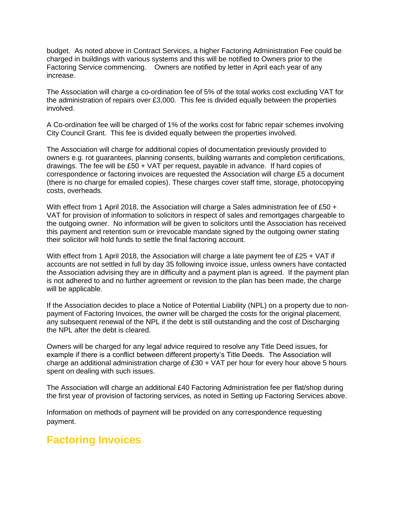budget. As noted above in Contract Services, a higher Factoring Administration Fee could be charged in buildings with various systems and this will be notified to Owners prior to the Factoring Service commencing. Owners are notified by letter in April each year of any increase.

The Association will charge a co-ordination fee of 5% of the total works cost excluding VAT for the administration of repairs over £3,000. This fee is divided equally between the properties involved.

A Co-ordination fee will be charged of 1% of the works cost for fabric repair schemes involving City Council Grant. This fee is divided equally between the properties involved.

The Association will charge for additional copies of documentation previously provided to owners e.g. rot guarantees, planning consents, building warrants and completion certifications, drawings. The fee will be £50 + VAT per request, payable in advance. If hard copies of correspondence or factoring invoices are requested the Association will charge £5 a document (there is no charge for emailed copies). These charges cover staff time, storage, photocopying costs, overheads.

With effect from 1 April 2018, the Association will charge a Sales administration fee of £50 + VAT for provision of information to solicitors in respect of sales and remortgages chargeable to the outgoing owner. No information will be given to solicitors until the Association has received this payment and retention sum or irrevocable mandate signed by the outgoing owner stating their solicitor will hold funds to settle the final factoring account.

With effect from 1 April 2018, the Association will charge a late payment fee of £25 + VAT if accounts are not settled in full by day 35 following invoice issue, unless owners have contacted the Association advising they are in difficulty and a payment plan is agreed. If the payment plan is not adhered to and no further agreement or revision to the plan has been made, the charge will be applicable.

If the Association decides to place a Notice of Potential Liability (NPL) on a property due to nonpayment of Factoring Invoices, the owner will be charged the costs for the original placement, any subsequent renewal of the NPL if the debt is still outstanding and the cost of Discharging the NPL after the debt is cleared.

Owners will be charged for any legal advice required to resolve any Title Deed issues, for example if there is a conflict between different property's Title Deeds. The Association will charge an additional administration charge of £30 + VAT per hour for every hour above 5 hours spent on dealing with such issues.

The Association will charge an additional £40 Factoring Administration fee per flat/shop during the first year of provision of factoring services, as noted in Setting up Factoring Services above.

Information on methods of payment will be provided on any correspondence requesting payment.

### **Factoring Invoices**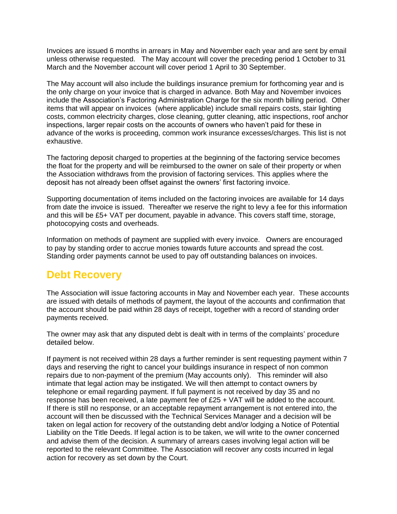Invoices are issued 6 months in arrears in May and November each year and are sent by email unless otherwise requested. The May account will cover the preceding period 1 October to 31 March and the November account will cover period 1 April to 30 September.

The May account will also include the buildings insurance premium for forthcoming year and is the only charge on your invoice that is charged in advance. Both May and November invoices include the Association's Factoring Administration Charge for the six month billing period. Other items that will appear on invoices (where applicable) include small repairs costs, stair lighting costs, common electricity charges, close cleaning, gutter cleaning, attic inspections, roof anchor inspections, larger repair costs on the accounts of owners who haven't paid for these in advance of the works is proceeding, common work insurance excesses/charges. This list is not exhaustive.

The factoring deposit charged to properties at the beginning of the factoring service becomes the float for the property and will be reimbursed to the owner on sale of their property or when the Association withdraws from the provision of factoring services. This applies where the deposit has not already been offset against the owners' first factoring invoice.

Supporting documentation of items included on the factoring invoices are available for 14 days from date the invoice is issued. Thereafter we reserve the right to levy a fee for this information and this will be £5+ VAT per document, payable in advance. This covers staff time, storage, photocopying costs and overheads.

Information on methods of payment are supplied with every invoice. Owners are encouraged to pay by standing order to accrue monies towards future accounts and spread the cost. Standing order payments cannot be used to pay off outstanding balances on invoices.

# **Debt Recovery**

The Association will issue factoring accounts in May and November each year. These accounts are issued with details of methods of payment, the layout of the accounts and confirmation that the account should be paid within 28 days of receipt, together with a record of standing order payments received.

The owner may ask that any disputed debt is dealt with in terms of the complaints' procedure detailed below.

If payment is not received within 28 days a further reminder is sent requesting payment within 7 days and reserving the right to cancel your buildings insurance in respect of non common repairs due to non-payment of the premium (May accounts only). This reminder will also intimate that legal action may be instigated. We will then attempt to contact owners by telephone or email regarding payment. If full payment is not received by day 35 and no response has been received, a late payment fee of £25 + VAT will be added to the account. If there is still no response, or an acceptable repayment arrangement is not entered into, the account will then be discussed with the Technical Services Manager and a decision will be taken on legal action for recovery of the outstanding debt and/or lodging a Notice of Potential Liability on the Title Deeds. If legal action is to be taken, we will write to the owner concerned and advise them of the decision. A summary of arrears cases involving legal action will be reported to the relevant Committee. The Association will recover any costs incurred in legal action for recovery as set down by the Court.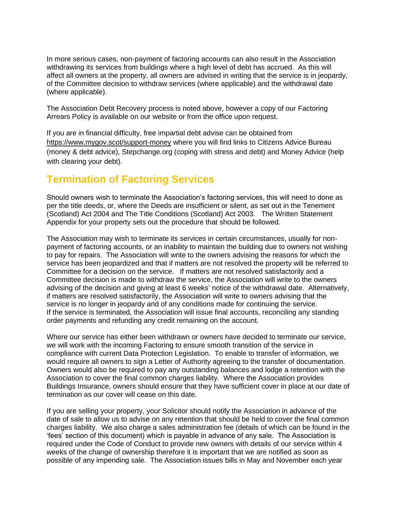In more serious cases, non-payment of factoring accounts can also result in the Association withdrawing its services from buildings where a high level of debt has accrued. As this will affect all owners at the property, all owners are advised in writing that the service is in jeopardy, of the Committee decision to withdraw services (where applicable) and the withdrawal date (where applicable).

The Association Debt Recovery process is noted above, however a copy of our Factoring Arrears Policy is available on our website or from the office upon request.

If you are in financial difficulty, free impartial debt advise can be obtained from <https://www.mygov.scot/support-money> where you will find links to Citizens Advice Bureau (money & debt advice), Stepchange.org (coping with stress and debt) and Money Advice (help with clearing your debt).

### **Termination of Factoring Services**

Should owners wish to terminate the Association's factoring services, this will need to done as per the title deeds, or, where the Deeds are insufficient or silent, as set out in the Tenement (Scotland) Act 2004 and The Title Conditions (Scotland) Act 2003. The Written Statement Appendix for your property sets out the procedure that should be followed.

The Association may wish to terminate its services in certain circumstances, usually for nonpayment of factoring accounts, or an inability to maintain the building due to owners not wishing to pay for repairs. The Association will write to the owners advising the reasons for which the service has been jeopardized and that if matters are not resolved the property will be referred to Committee for a decision on the service. If matters are not resolved satisfactorily and a Committee decision is made to withdraw the service, the Association will write to the owners advising of the decision and giving at least 6 weeks' notice of the withdrawal date. Alternatively, if matters are resolved satisfactorily, the Association will write to owners advising that the service is no longer in jeopardy and of any conditions made for continuing the service. If the service is terminated, the Association will issue final accounts, reconciling any standing order payments and refunding any credit remaining on the account.

Where our service has either been withdrawn or owners have decided to terminate our service, we will work with the incoming Factoring to ensure smooth transition of the service in compliance with current Data Protection Legislation. To enable to transfer of information, we would require all owners to sign a Letter of Authority agreeing to the transfer of documentation. Owners would also be required to pay any outstanding balances and lodge a retention with the Association to cover the final common charges liability. Where the Association provides Buildings Insurance, owners should ensure that they have sufficient cover in place at our date of termination as our cover will cease on this date.

If you are selling your property, your Solicitor should notify the Association in advance of the date of sale to allow us to advise on any retention that should be held to cover the final common charges liability. We also charge a sales administration fee (details of which can be found in the 'fees' section of this document) which is payable in advance of any sale. The Association is required under the Code of Conduct to provide new owners with details of our service within 4 weeks of the change of ownership therefore it is important that we are notified as soon as possible of any impending sale. The Association issues bills in May and November each year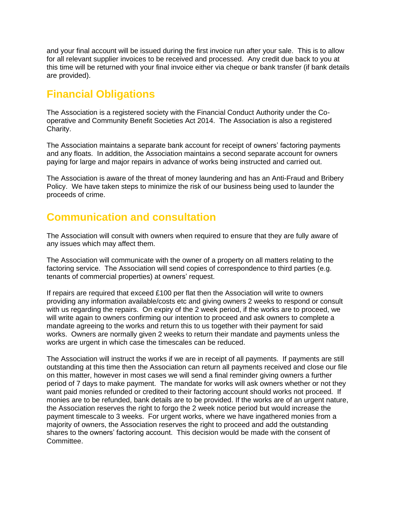and your final account will be issued during the first invoice run after your sale. This is to allow for all relevant supplier invoices to be received and processed. Any credit due back to you at this time will be returned with your final invoice either via cheque or bank transfer (if bank details are provided).

# **Financial Obligations**

The Association is a registered society with the Financial Conduct Authority under the Cooperative and Community Benefit Societies Act 2014. The Association is also a registered Charity.

The Association maintains a separate bank account for receipt of owners' factoring payments and any floats. In addition, the Association maintains a second separate account for owners paying for large and major repairs in advance of works being instructed and carried out.

The Association is aware of the threat of money laundering and has an Anti-Fraud and Bribery Policy. We have taken steps to minimize the risk of our business being used to launder the proceeds of crime.

# **Communication and consultation**

The Association will consult with owners when required to ensure that they are fully aware of any issues which may affect them.

The Association will communicate with the owner of a property on all matters relating to the factoring service. The Association will send copies of correspondence to third parties (e.g. tenants of commercial properties) at owners' request.

If repairs are required that exceed £100 per flat then the Association will write to owners providing any information available/costs etc and giving owners 2 weeks to respond or consult with us regarding the repairs. On expiry of the 2 week period, if the works are to proceed, we will write again to owners confirming our intention to proceed and ask owners to complete a mandate agreeing to the works and return this to us together with their payment for said works. Owners are normally given 2 weeks to return their mandate and payments unless the works are urgent in which case the timescales can be reduced.

The Association will instruct the works if we are in receipt of all payments. If payments are still outstanding at this time then the Association can return all payments received and close our file on this matter, however in most cases we will send a final reminder giving owners a further period of 7 days to make payment. The mandate for works will ask owners whether or not they want paid monies refunded or credited to their factoring account should works not proceed. If monies are to be refunded, bank details are to be provided. If the works are of an urgent nature, the Association reserves the right to forgo the 2 week notice period but would increase the payment timescale to 3 weeks. For urgent works, where we have ingathered monies from a majority of owners, the Association reserves the right to proceed and add the outstanding shares to the owners' factoring account. This decision would be made with the consent of **Committee.**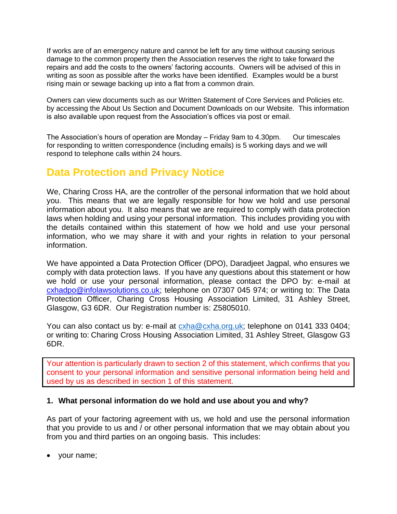If works are of an emergency nature and cannot be left for any time without causing serious damage to the common property then the Association reserves the right to take forward the repairs and add the costs to the owners' factoring accounts. Owners will be advised of this in writing as soon as possible after the works have been identified. Examples would be a burst rising main or sewage backing up into a flat from a common drain.

Owners can view documents such as our Written Statement of Core Services and Policies etc. by accessing the About Us Section and Document Downloads on our Website. This information is also available upon request from the Association's offices via post or email.

The Association's hours of operation are Monday – Friday 9am to 4.30pm. Our timescales for responding to written correspondence (including emails) is 5 working days and we will respond to telephone calls within 24 hours.

### **Data Protection and Privacy Notice**

We, Charing Cross HA, are the controller of the personal information that we hold about you. This means that we are legally responsible for how we hold and use personal information about you. It also means that we are required to comply with data protection laws when holding and using your personal information. This includes providing you with the details contained within this statement of how we hold and use your personal information, who we may share it with and your rights in relation to your personal information.

We have appointed a Data Protection Officer (DPO), Daradjeet Jagpal, who ensures we comply with data protection laws. If you have any questions about this statement or how we hold or use your personal information, please contact the DPO by: e-mail at [cxhadpo@infolawsolutions.co.uk;](mailto:cxhadpo@infolawsolutions.co.uk) telephone on 07307 045 974; or writing to: The Data Protection Officer, Charing Cross Housing Association Limited, 31 Ashley Street, Glasgow, G3 6DR. Our Registration number is: Z5805010.

You can also contact us by: e-mail at  $\alpha$ ha@cxha.org.uk; telephone on 0141 333 0404; or writing to: Charing Cross Housing Association Limited, 31 Ashley Street, Glasgow G3 6DR.

Your attention is particularly drawn to section 2 of this statement, which confirms that you consent to your personal information and sensitive personal information being held and used by us as described in section 1 of this statement.

### **1. What personal information do we hold and use about you and why?**

As part of your factoring agreement with us, we hold and use the personal information that you provide to us and / or other personal information that we may obtain about you from you and third parties on an ongoing basis. This includes:

• your name;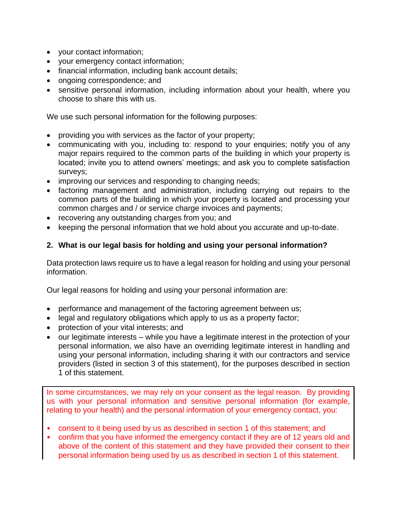- your contact information;
- your emergency contact information;
- financial information, including bank account details;
- ongoing correspondence; and
- sensitive personal information, including information about your health, where you choose to share this with us.

We use such personal information for the following purposes:

- providing you with services as the factor of your property;
- communicating with you, including to: respond to your enquiries; notify you of any major repairs required to the common parts of the building in which your property is located; invite you to attend owners' meetings; and ask you to complete satisfaction surveys;
- improving our services and responding to changing needs;
- factoring management and administration, including carrying out repairs to the common parts of the building in which your property is located and processing your common charges and / or service charge invoices and payments;
- recovering any outstanding charges from you; and
- keeping the personal information that we hold about you accurate and up-to-date.

### **2. What is our legal basis for holding and using your personal information?**

Data protection laws require us to have a legal reason for holding and using your personal information.

Our legal reasons for holding and using your personal information are:

- performance and management of the factoring agreement between us;
- legal and regulatory obligations which apply to us as a property factor;
- protection of your vital interests; and
- our legitimate interests while you have a legitimate interest in the protection of your personal information, we also have an overriding legitimate interest in handling and using your personal information, including sharing it with our contractors and service providers (listed in section 3 of this statement), for the purposes described in section 1 of this statement.

In some circumstances, we may rely on your consent as the legal reason. By providing us with your personal information and sensitive personal information (for example, relating to your health) and the personal information of your emergency contact, you:

- consent to it being used by us as described in section 1 of this statement; and
- confirm that you have informed the emergency contact if they are of 12 years old and above of the content of this statement and they have provided their consent to their personal information being used by us as described in section 1 of this statement.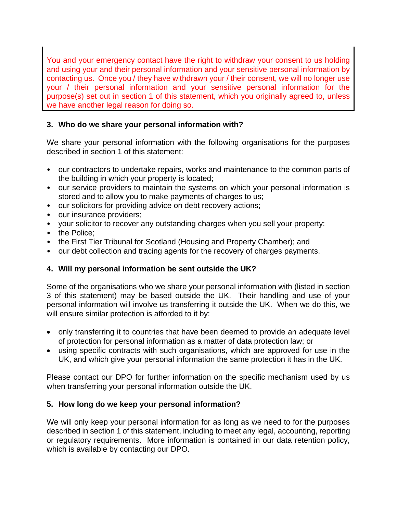You and your emergency contact have the right to withdraw your consent to us holding and using your and their personal information and your sensitive personal information by contacting us. Once you / they have withdrawn your / their consent, we will no longer use your / their personal information and your sensitive personal information for the purpose(s) set out in section 1 of this statement, which you originally agreed to, unless we have another legal reason for doing so.

### **3. Who do we share your personal information with?**

We share your personal information with the following organisations for the purposes described in section 1 of this statement:

- our contractors to undertake repairs, works and maintenance to the common parts of the building in which your property is located;
- our service providers to maintain the systems on which your personal information is stored and to allow you to make payments of charges to us;
- our solicitors for providing advice on debt recovery actions;
- our insurance providers;
- your solicitor to recover any outstanding charges when you sell your property;
- the Police;
- the First Tier Tribunal for Scotland (Housing and Property Chamber); and
- our debt collection and tracing agents for the recovery of charges payments.

### **4. Will my personal information be sent outside the UK?**

Some of the organisations who we share your personal information with (listed in section 3 of this statement) may be based outside the UK. Their handling and use of your personal information will involve us transferring it outside the UK. When we do this, we will ensure similar protection is afforded to it by:

- only transferring it to countries that have been deemed to provide an adequate level of protection for personal information as a matter of data protection law; or
- using specific contracts with such organisations, which are approved for use in the UK, and which give your personal information the same protection it has in the UK.

Please contact our DPO for further information on the specific mechanism used by us when transferring your personal information outside the UK.

### **5. How long do we keep your personal information?**

We will only keep your personal information for as long as we need to for the purposes described in section 1 of this statement, including to meet any legal, accounting, reporting or regulatory requirements. More information is contained in our data retention policy, which is available by contacting our DPO.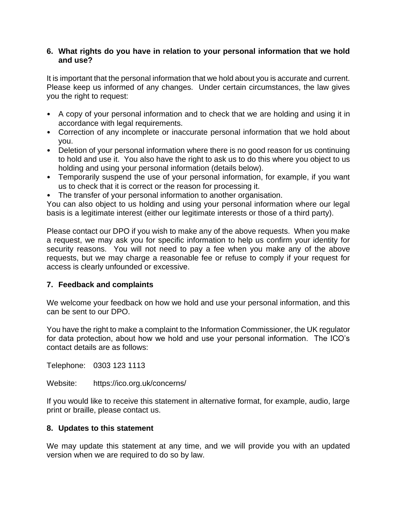### **6. What rights do you have in relation to your personal information that we hold and use?**

It is important that the personal information that we hold about you is accurate and current. Please keep us informed of any changes. Under certain circumstances, the law gives you the right to request:

- A copy of your personal information and to check that we are holding and using it in accordance with legal requirements.
- Correction of any incomplete or inaccurate personal information that we hold about you.
- Deletion of your personal information where there is no good reason for us continuing to hold and use it. You also have the right to ask us to do this where you object to us holding and using your personal information (details below).
- Temporarily suspend the use of your personal information, for example, if you want us to check that it is correct or the reason for processing it.
- The transfer of your personal information to another organisation.

You can also object to us holding and using your personal information where our legal basis is a legitimate interest (either our legitimate interests or those of a third party).

Please contact our DPO if you wish to make any of the above requests. When you make a request, we may ask you for specific information to help us confirm your identity for security reasons. You will not need to pay a fee when you make any of the above requests, but we may charge a reasonable fee or refuse to comply if your request for access is clearly unfounded or excessive.

### **7. Feedback and complaints**

We welcome your feedback on how we hold and use your personal information, and this can be sent to our DPO.

You have the right to make a complaint to the Information Commissioner, the UK regulator for data protection, about how we hold and use your personal information. The ICO's contact details are as follows:

Telephone: 0303 123 1113

Website: https://ico.org.uk/concerns/

If you would like to receive this statement in alternative format, for example, audio, large print or braille, please contact us.

### **8. Updates to this statement**

We may update this statement at any time, and we will provide you with an updated version when we are required to do so by law.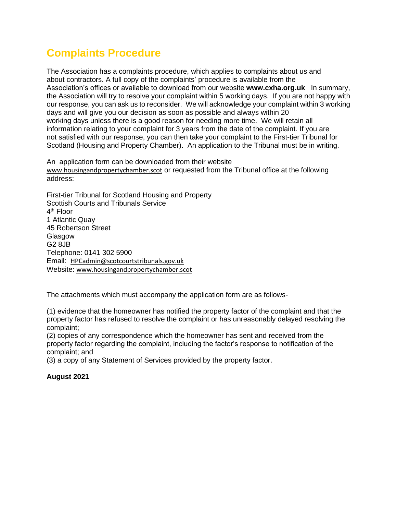# **Complaints Procedure**

The Association has a complaints procedure, which applies to complaints about us and about contractors. A full copy of the complaints' procedure is available from the Association's offices or available to download from our website **www.cxha.org.uk** In summary, the Association will try to resolve your complaint within 5 working days. If you are not happy with our response, you can ask us to reconsider. We will acknowledge your complaint within 3 working days and will give you our decision as soon as possible and always within 20 working days unless there is a good reason for needing more time. We will retain all information relating to your complaint for 3 years from the date of the complaint. If you are not satisfied with our response, you can then take your complaint to the First-tier Tribunal for Scotland (Housing and Property Chamber). An application to the Tribunal must be in writing.

An [a](http://hohp.scotland.gov.uk/prhp/files/hohp%20interactive%20application%20final.pdf)pplication form can be downloaded from their website [www.housingandpropertychamber.scot](http://www.housingandpropertychamber.scot/) or requested from the Tribunal office at the following address:

First-tier Tribunal for Scotland Housing and Property Scottish Courts and Tribunals Service 4<sup>th</sup> Floor 1 Atlantic Quay 45 Robertson Street **Glasgow** G2 8JB Telephone: 0141 302 5900 Email: [HPCadmin@scotcourtstribunals.gov.uk](mailto:HPCadmin@scotcourtstribunals.gov.uk) Website: [www.housingandpropertychamber.scot](http://www.housingandpropertychamber.scot/)

The attachments which must accompany the application form are as follows-

(1) evidence that the homeowner has notified the property factor of the complaint and that the property factor has refused to resolve the complaint or has unreasonably delayed resolving the complaint;

(2) copies of any correspondence which the homeowner has sent and received from the property factor regarding the complaint, including the factor's response to notification of the complaint; and

(3) a copy of any Statement of Services provided by the property factor.

#### **August 2021**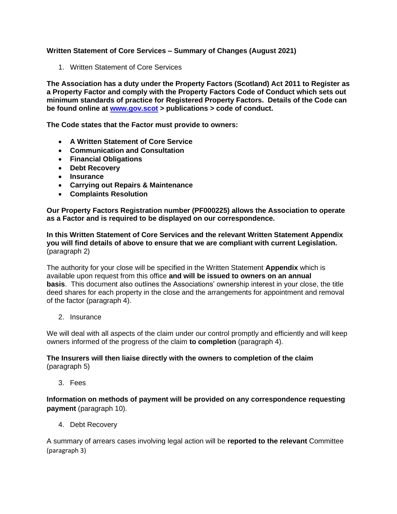#### **Written Statement of Core Services – Summary of Changes (August 2021)**

1. Written Statement of Core Services

**The Association has a duty under the Property Factors (Scotland) Act 2011 to Register as a Property Factor and comply with the Property Factors Code of Conduct which sets out minimum standards of practice for Registered Property Factors. Details of the Code can be found online at [www.gov.scot](http://www.gov.scot/) > publications > code of conduct.**

**The Code states that the Factor must provide to owners:**

- **A Written Statement of Core Service**
- **Communication and Consultation**
- **Financial Obligations**
- **Debt Recovery**
- **Insurance**
- **Carrying out Repairs & Maintenance**
- **Complaints Resolution**

**Our Property Factors Registration number (PF000225) allows the Association to operate as a Factor and is required to be displayed on our correspondence.**

**In this Written Statement of Core Services and the relevant Written Statement Appendix you will find details of above to ensure that we are compliant with current Legislation.**  (paragraph 2)

The authority for your close will be specified in the Written Statement **Appendix** which is available upon request from this office **and will be issued to owners on an annual basis**. This document also outlines the Associations' ownership interest in your close, the title deed shares for each property in the close and the arrangements for appointment and removal of the factor (paragraph 4).

2. Insurance

We will deal with all aspects of the claim under our control promptly and efficiently and will keep owners informed of the progress of the claim **to completion** (paragraph 4).

**The Insurers will then liaise directly with the owners to completion of the claim** (paragraph 5)

3. Fees

**Information on methods of payment will be provided on any correspondence requesting payment** (paragraph 10).

4. Debt Recovery

A summary of arrears cases involving legal action will be **reported to the relevant** Committee (paragraph 3)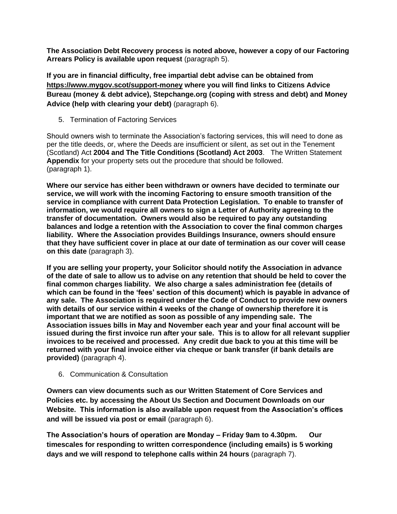**The Association Debt Recovery process is noted above, however a copy of our Factoring Arrears Policy is available upon request** (paragraph 5).

**If you are in financial difficulty, free impartial debt advise can be obtained from <https://www.mygov.scot/support-money> where you will find links to Citizens Advice Bureau (money & debt advice), Stepchange.org (coping with stress and debt) and Money Advice (help with clearing your debt)** (paragraph 6).

5. Termination of Factoring Services

Should owners wish to terminate the Association's factoring services, this will need to done as per the title deeds, or, where the Deeds are insufficient or silent, as set out in the Tenement (Scotland) Act **2004 and The Title Conditions (Scotland) Act 2003**. The Written Statement **Appendix** for your property sets out the procedure that should be followed. (paragraph 1).

**Where our service has either been withdrawn or owners have decided to terminate our service, we will work with the incoming Factoring to ensure smooth transition of the service in compliance with current Data Protection Legislation. To enable to transfer of information, we would require all owners to sign a Letter of Authority agreeing to the transfer of documentation. Owners would also be required to pay any outstanding balances and lodge a retention with the Association to cover the final common charges liability. Where the Association provides Buildings Insurance, owners should ensure that they have sufficient cover in place at our date of termination as our cover will cease on this date** (paragraph 3).

**If you are selling your property, your Solicitor should notify the Association in advance of the date of sale to allow us to advise on any retention that should be held to cover the final common charges liability. We also charge a sales administration fee (details of which can be found in the 'fees' section of this document) which is payable in advance of any sale. The Association is required under the Code of Conduct to provide new owners with details of our service within 4 weeks of the change of ownership therefore it is important that we are notified as soon as possible of any impending sale. The Association issues bills in May and November each year and your final account will be issued during the first invoice run after your sale. This is to allow for all relevant supplier invoices to be received and processed. Any credit due back to you at this time will be returned with your final invoice either via cheque or bank transfer (if bank details are provided)** (paragraph 4).

6. Communication & Consultation

**Owners can view documents such as our Written Statement of Core Services and Policies etc. by accessing the About Us Section and Document Downloads on our Website. This information is also available upon request from the Association's offices and will be issued via post or email** (paragraph 6).

**The Association's hours of operation are Monday – Friday 9am to 4.30pm. Our timescales for responding to written correspondence (including emails) is 5 working days and we will respond to telephone calls within 24 hours** (paragraph 7).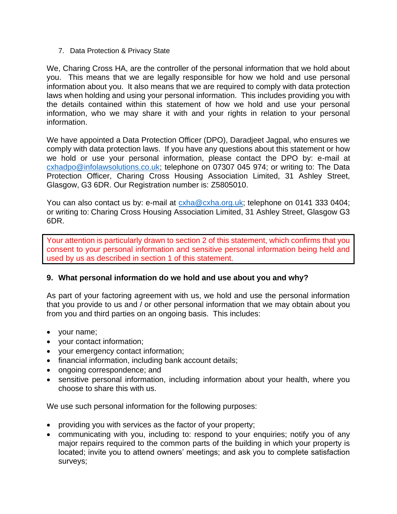7. Data Protection & Privacy State

We, Charing Cross HA, are the controller of the personal information that we hold about you. This means that we are legally responsible for how we hold and use personal information about you. It also means that we are required to comply with data protection laws when holding and using your personal information. This includes providing you with the details contained within this statement of how we hold and use your personal information, who we may share it with and your rights in relation to your personal information.

We have appointed a Data Protection Officer (DPO), Daradjeet Jagpal, who ensures we comply with data protection laws. If you have any questions about this statement or how we hold or use your personal information, please contact the DPO by: e-mail at [cxhadpo@infolawsolutions.co.uk;](mailto:cxhadpo@infolawsolutions.co.uk) telephone on 07307 045 974; or writing to: The Data Protection Officer, Charing Cross Housing Association Limited, 31 Ashley Street, Glasgow, G3 6DR. Our Registration number is: Z5805010.

You can also contact us by: e-mail at  $\alpha$ xha@cxha.org.uk; telephone on 0141 333 0404; or writing to: Charing Cross Housing Association Limited, 31 Ashley Street, Glasgow G3 6DR.

Your attention is particularly drawn to section 2 of this statement, which confirms that you consent to your personal information and sensitive personal information being held and used by us as described in section 1 of this statement.

### **9. What personal information do we hold and use about you and why?**

As part of your factoring agreement with us, we hold and use the personal information that you provide to us and / or other personal information that we may obtain about you from you and third parties on an ongoing basis. This includes:

- your name;
- your contact information;
- your emergency contact information;
- financial information, including bank account details;
- ongoing correspondence; and
- sensitive personal information, including information about your health, where you choose to share this with us.

We use such personal information for the following purposes:

- providing you with services as the factor of your property;
- communicating with you, including to: respond to your enquiries; notify you of any major repairs required to the common parts of the building in which your property is located; invite you to attend owners' meetings; and ask you to complete satisfaction surveys;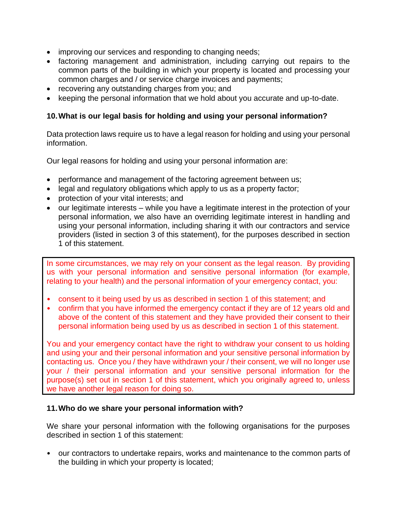- improving our services and responding to changing needs;
- factoring management and administration, including carrying out repairs to the common parts of the building in which your property is located and processing your common charges and / or service charge invoices and payments;
- recovering any outstanding charges from you; and
- keeping the personal information that we hold about you accurate and up-to-date.

### **10.What is our legal basis for holding and using your personal information?**

Data protection laws require us to have a legal reason for holding and using your personal information.

Our legal reasons for holding and using your personal information are:

- performance and management of the factoring agreement between us;
- legal and regulatory obligations which apply to us as a property factor;
- protection of your vital interests; and
- our legitimate interests while you have a legitimate interest in the protection of your personal information, we also have an overriding legitimate interest in handling and using your personal information, including sharing it with our contractors and service providers (listed in section 3 of this statement), for the purposes described in section 1 of this statement.

In some circumstances, we may rely on your consent as the legal reason. By providing us with your personal information and sensitive personal information (for example, relating to your health) and the personal information of your emergency contact, you:

- consent to it being used by us as described in section 1 of this statement; and
- confirm that you have informed the emergency contact if they are of 12 years old and above of the content of this statement and they have provided their consent to their personal information being used by us as described in section 1 of this statement.

You and your emergency contact have the right to withdraw your consent to us holding and using your and their personal information and your sensitive personal information by contacting us. Once you / they have withdrawn your / their consent, we will no longer use your / their personal information and your sensitive personal information for the purpose(s) set out in section 1 of this statement, which you originally agreed to, unless we have another legal reason for doing so.

### **11.Who do we share your personal information with?**

We share your personal information with the following organisations for the purposes described in section 1 of this statement:

• our contractors to undertake repairs, works and maintenance to the common parts of the building in which your property is located;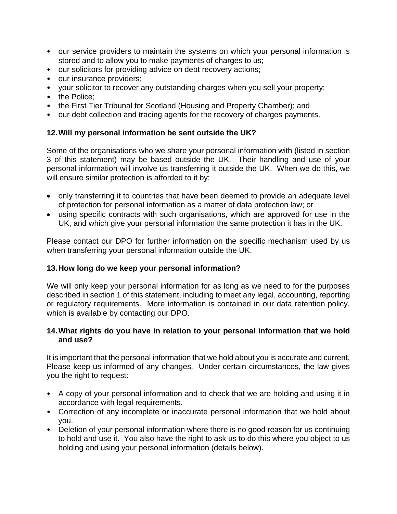- our service providers to maintain the systems on which your personal information is stored and to allow you to make payments of charges to us;
- our solicitors for providing advice on debt recovery actions;
- our insurance providers;
- your solicitor to recover any outstanding charges when you sell your property;
- the Police:
- the First Tier Tribunal for Scotland (Housing and Property Chamber); and
- our debt collection and tracing agents for the recovery of charges payments.

### **12.Will my personal information be sent outside the UK?**

Some of the organisations who we share your personal information with (listed in section 3 of this statement) may be based outside the UK. Their handling and use of your personal information will involve us transferring it outside the UK. When we do this, we will ensure similar protection is afforded to it by:

- only transferring it to countries that have been deemed to provide an adequate level of protection for personal information as a matter of data protection law; or
- using specific contracts with such organisations, which are approved for use in the UK, and which give your personal information the same protection it has in the UK.

Please contact our DPO for further information on the specific mechanism used by us when transferring your personal information outside the UK.

### **13.How long do we keep your personal information?**

We will only keep your personal information for as long as we need to for the purposes described in section 1 of this statement, including to meet any legal, accounting, reporting or regulatory requirements. More information is contained in our data retention policy, which is available by contacting our DPO.

### **14.What rights do you have in relation to your personal information that we hold and use?**

It is important that the personal information that we hold about you is accurate and current. Please keep us informed of any changes. Under certain circumstances, the law gives you the right to request:

- A copy of your personal information and to check that we are holding and using it in accordance with legal requirements.
- Correction of any incomplete or inaccurate personal information that we hold about you.
- Deletion of your personal information where there is no good reason for us continuing to hold and use it. You also have the right to ask us to do this where you object to us holding and using your personal information (details below).